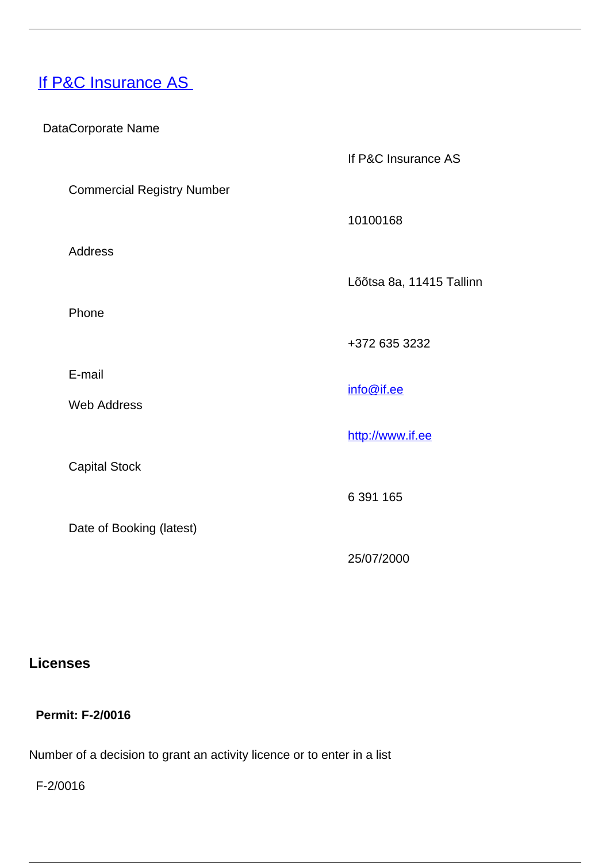# **[If P&C Insurance AS](/en/insurance-0/insurance/insurance-companies/licenced-non-life-insurance-companies-estonia/if-pc-insurance)**

DataCorporate Name

If P&C Insurance AS

Commercial Registry Number

Address

Phone

E-mail

Web Address

Capital Stock

Date of Booking (latest)

10100168

Lõõtsa 8a, 11415 Tallinn

+372 635 3232

info@if.ee

<http://www.if.ee>

6 391 165

25/07/2000

## **Licenses**

#### **Permit: F-2/0016**

Number of a decision to grant an activity licence or to enter in a list

F-2/0016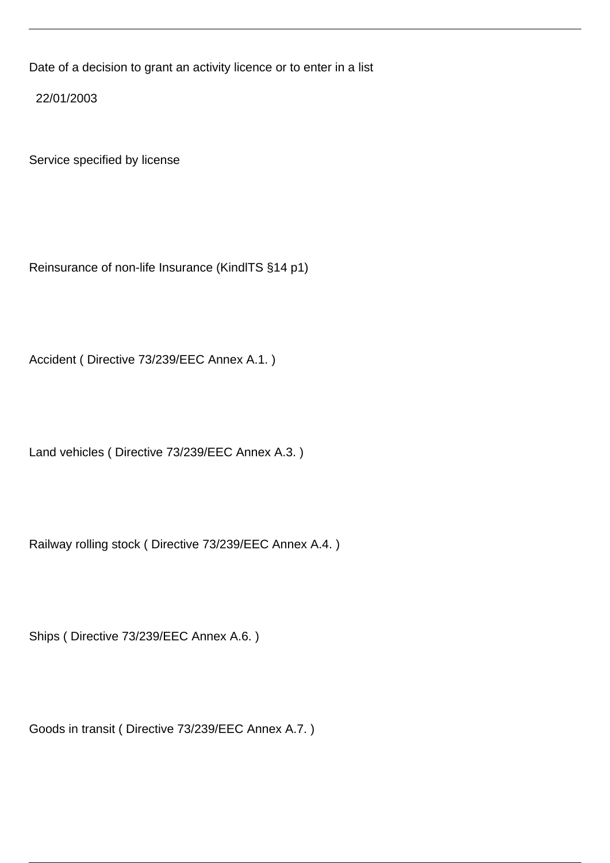Date of a decision to grant an activity licence or to enter in a list

22/01/2003

Service specified by license

Reinsurance of non-life Insurance (KindlTS §14 p1)

Accident ( Directive 73/239/EEC Annex A.1. )

Land vehicles ( Directive 73/239/EEC Annex A.3. )

Railway rolling stock ( Directive 73/239/EEC Annex A.4. )

Ships ( Directive 73/239/EEC Annex A.6. )

Goods in transit ( Directive 73/239/EEC Annex A.7. )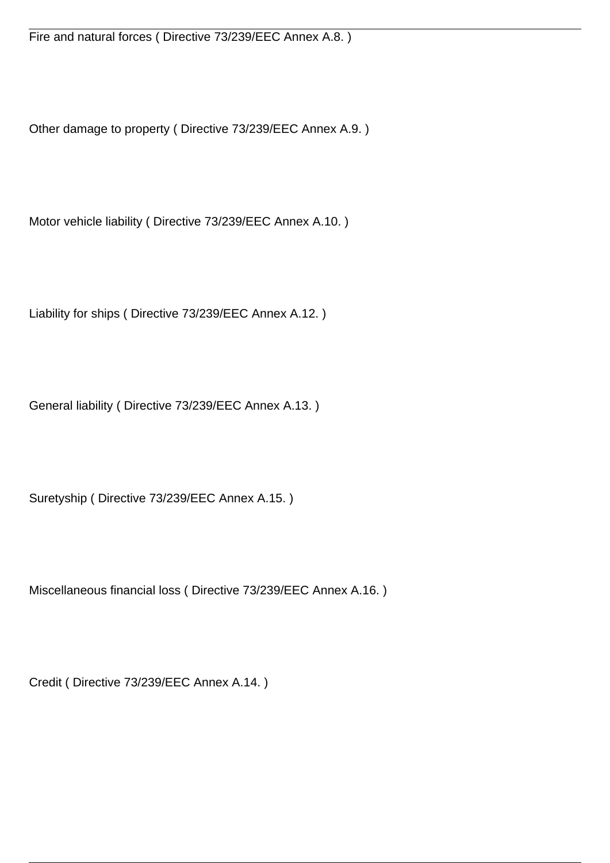Fire and natural forces ( Directive 73/239/EEC Annex A.8. )

Other damage to property ( Directive 73/239/EEC Annex A.9. )

Motor vehicle liability ( Directive 73/239/EEC Annex A.10. )

Liability for ships ( Directive 73/239/EEC Annex A.12. )

General liability ( Directive 73/239/EEC Annex A.13. )

Suretyship ( Directive 73/239/EEC Annex A.15. )

Miscellaneous financial loss ( Directive 73/239/EEC Annex A.16. )

Credit ( Directive 73/239/EEC Annex A.14. )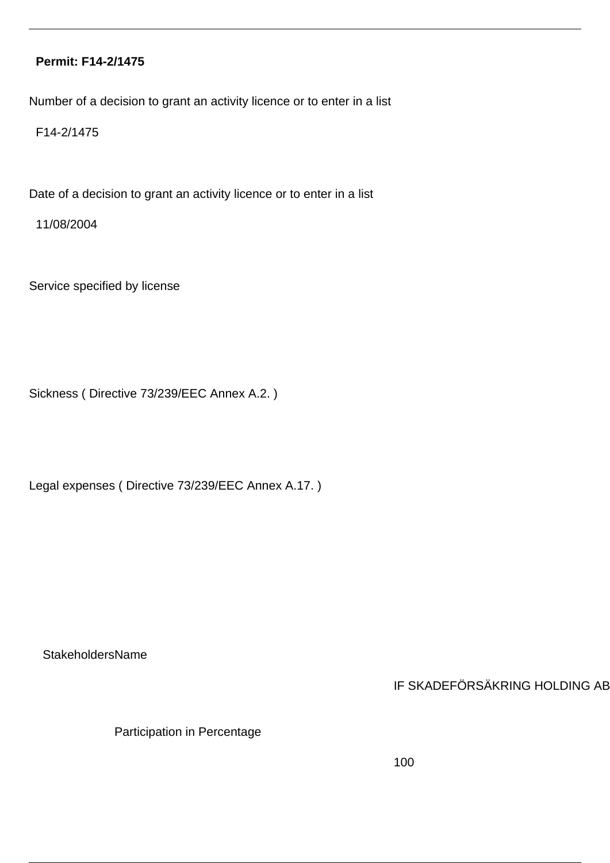#### **Permit: F14-2/1475**

Number of a decision to grant an activity licence or to enter in a list

F14-2/1475

Date of a decision to grant an activity licence or to enter in a list

11/08/2004

Service specified by license

Sickness ( Directive 73/239/EEC Annex A.2. )

Legal expenses ( Directive 73/239/EEC Annex A.17. )

**StakeholdersName** 

IF SKADEFÖRSÄKRING HOLDING AB

Participation in Percentage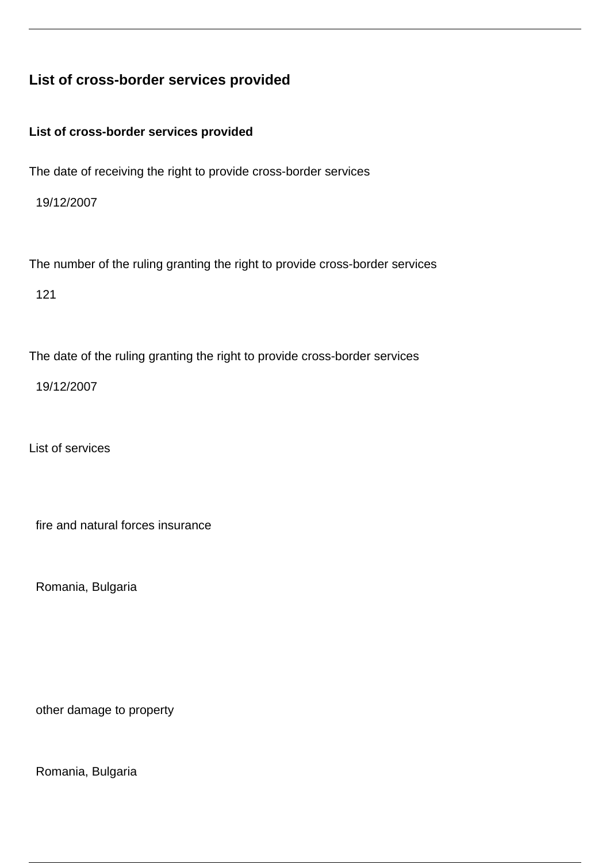# **List of cross-border services provided**

**List of cross-border services provided**

The date of receiving the right to provide cross-border services

19/12/2007

The number of the ruling granting the right to provide cross-border services

121

The date of the ruling granting the right to provide cross-border services

19/12/2007

List of services

fire and natural forces insurance

Romania, Bulgaria

other damage to property

Romania, Bulgaria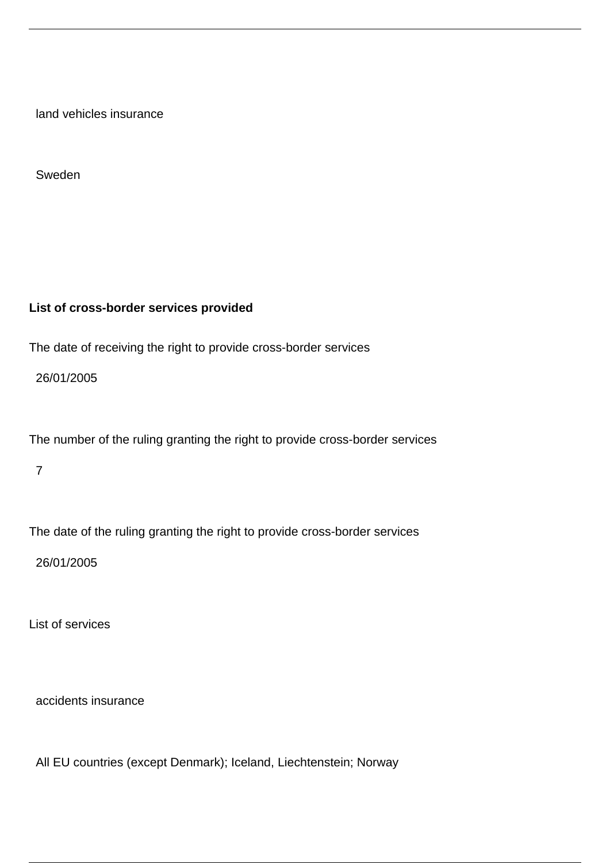land vehicles insurance

Sweden

#### **List of cross-border services provided**

The date of receiving the right to provide cross-border services

26/01/2005

The number of the ruling granting the right to provide cross-border services

7

The date of the ruling granting the right to provide cross-border services

26/01/2005

List of services

accidents insurance

All EU countries (except Denmark); Iceland, Liechtenstein; Norway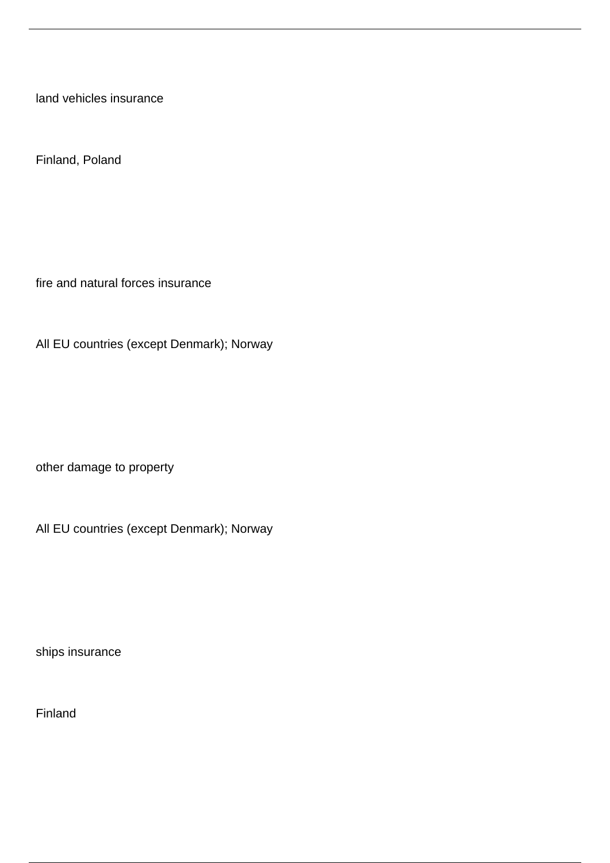land vehicles insurance

Finland, Poland

fire and natural forces insurance

All EU countries (except Denmark); Norway

other damage to property

All EU countries (except Denmark); Norway

ships insurance

Finland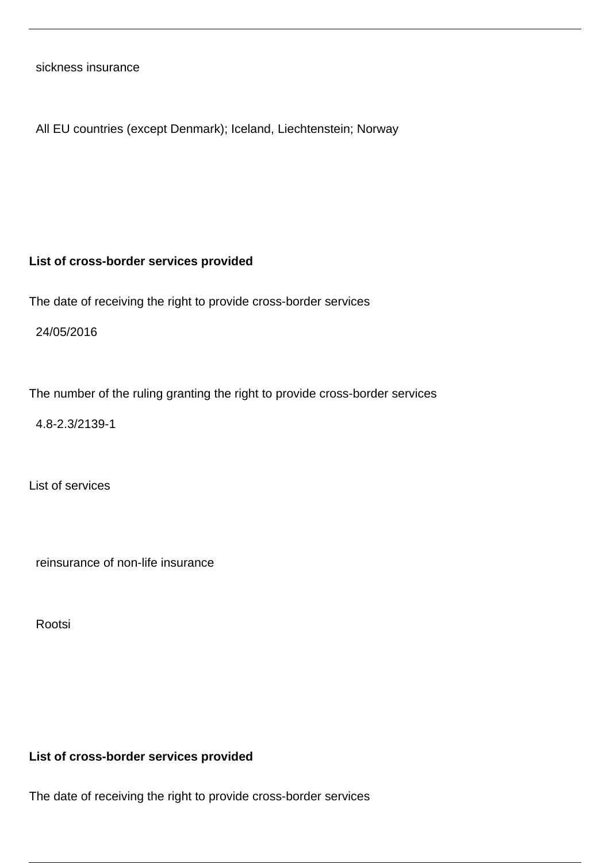sickness insurance

All EU countries (except Denmark); Iceland, Liechtenstein; Norway

#### **List of cross-border services provided**

The date of receiving the right to provide cross-border services

24/05/2016

The number of the ruling granting the right to provide cross-border services

4.8-2.3/2139-1

List of services

reinsurance of non-life insurance

Rootsi

#### **List of cross-border services provided**

The date of receiving the right to provide cross-border services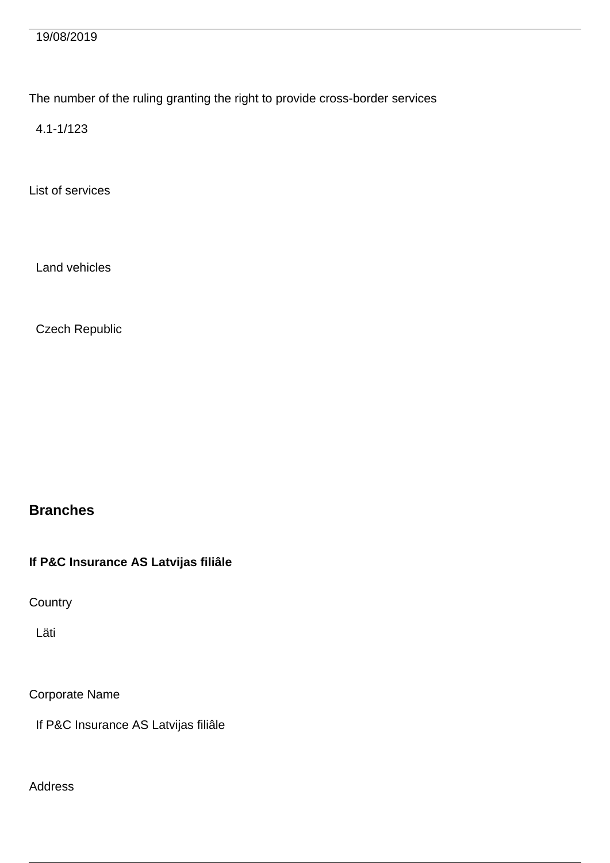19/08/2019

The number of the ruling granting the right to provide cross-border services

4.1-1/123

List of services

Land vehicles

Czech Republic

**Branches**

**If P&C Insurance AS Latvijas filiâle**

**Country** 

Läti

Corporate Name

If P&C Insurance AS Latvijas filiâle

Address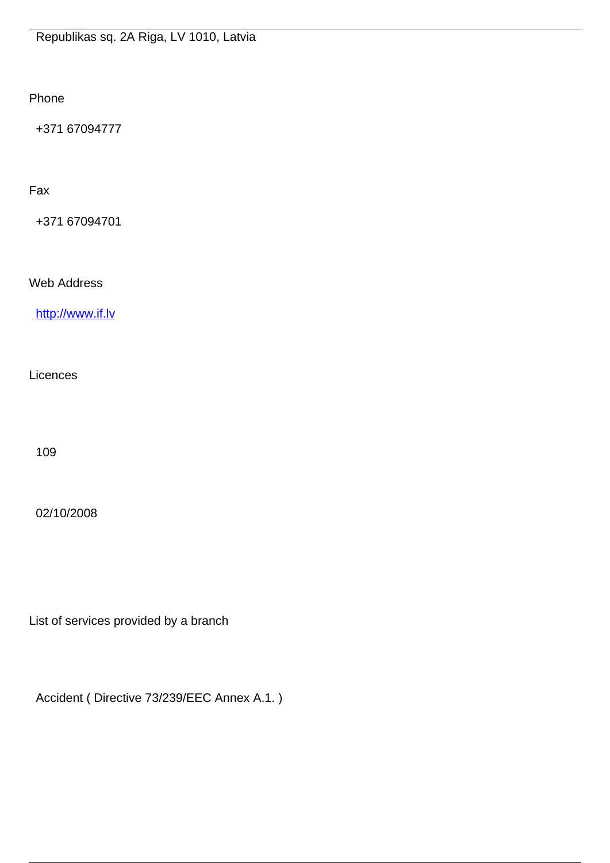Phone

+371 67094777

Fax

+371 67094701

Web Address

<http://www.if.lv>

**Licences** 

109

02/10/2008

List of services provided by a branch

Accident ( Directive 73/239/EEC Annex A.1. )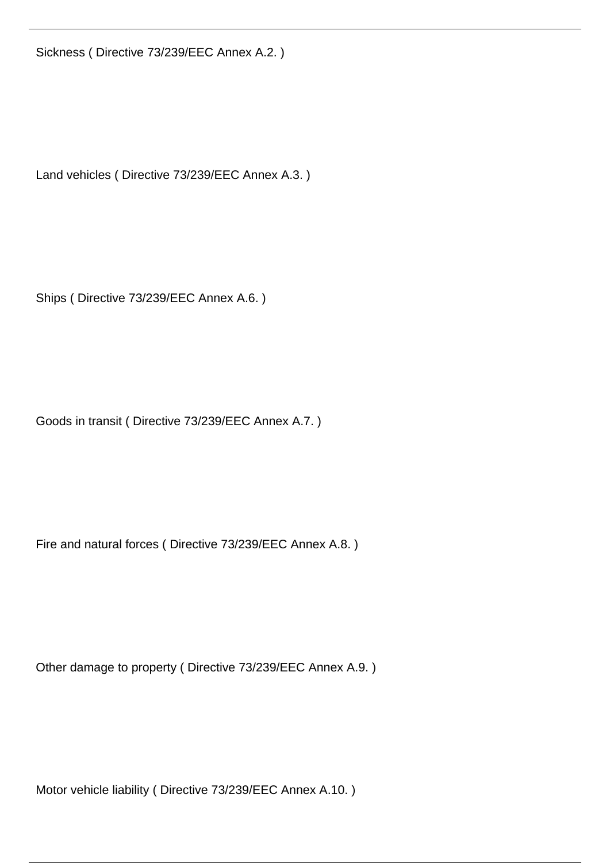Sickness ( Directive 73/239/EEC Annex A.2. )

Land vehicles ( Directive 73/239/EEC Annex A.3. )

Ships ( Directive 73/239/EEC Annex A.6. )

Goods in transit ( Directive 73/239/EEC Annex A.7. )

Fire and natural forces ( Directive 73/239/EEC Annex A.8. )

Other damage to property ( Directive 73/239/EEC Annex A.9. )

Motor vehicle liability ( Directive 73/239/EEC Annex A.10. )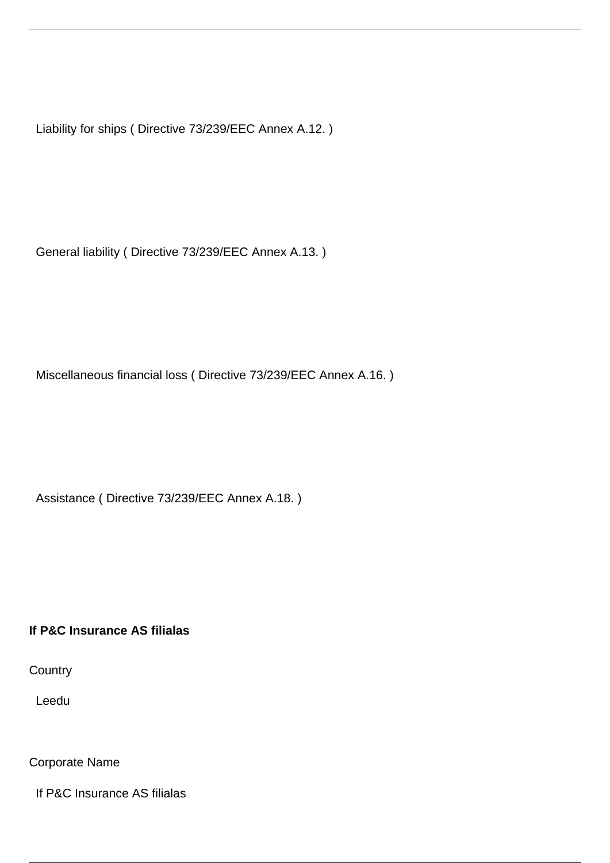Liability for ships ( Directive 73/239/EEC Annex A.12. )

General liability ( Directive 73/239/EEC Annex A.13. )

Miscellaneous financial loss ( Directive 73/239/EEC Annex A.16. )

Assistance ( Directive 73/239/EEC Annex A.18. )

### **If P&C Insurance AS filialas**

**Country** 

Leedu

Corporate Name

If P&C Insurance AS filialas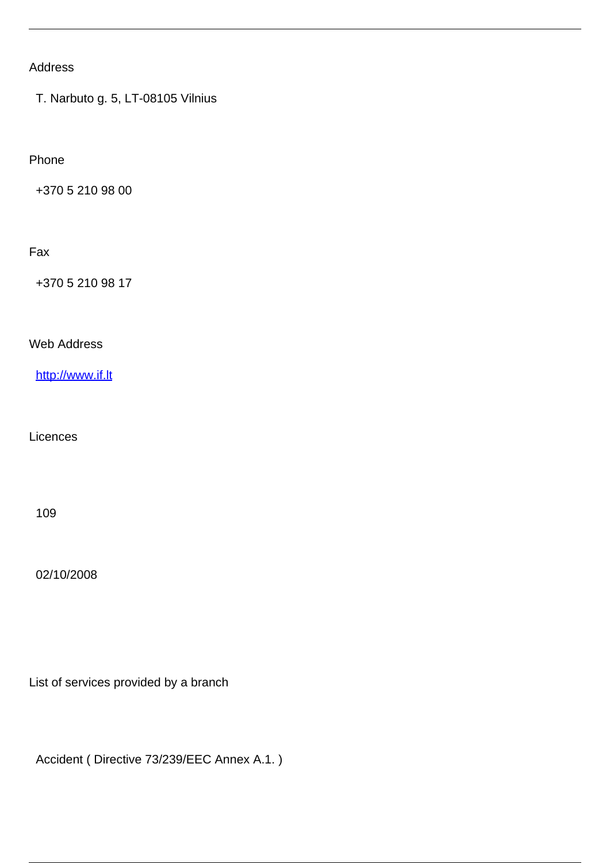# Address

T. Narbuto g. 5, LT-08105 Vilnius

Phone

+370 5 210 98 00

#### Fax

+370 5 210 98 17

Web Address

<http://www.if.lt>

**Licences** 

109

02/10/2008

List of services provided by a branch

Accident ( Directive 73/239/EEC Annex A.1. )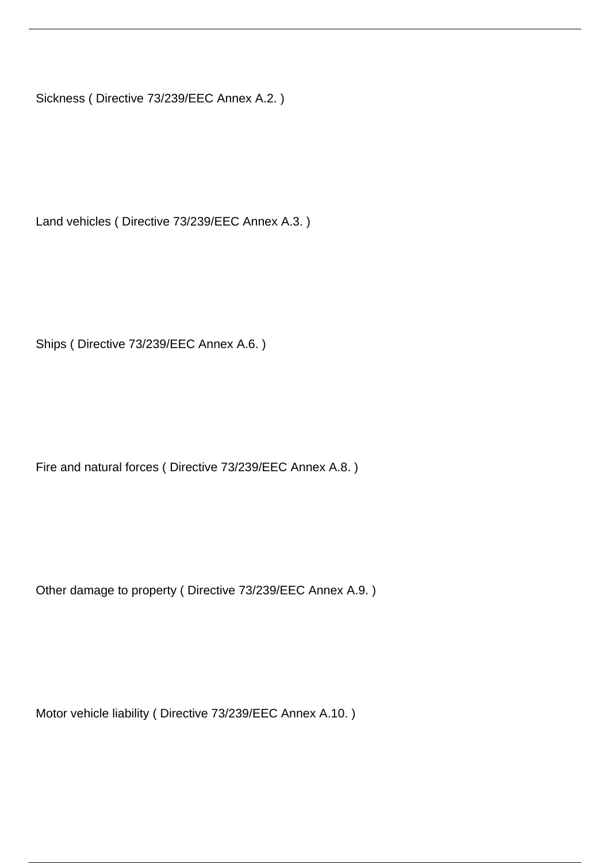Sickness ( Directive 73/239/EEC Annex A.2. )

Land vehicles ( Directive 73/239/EEC Annex A.3. )

Ships ( Directive 73/239/EEC Annex A.6. )

Fire and natural forces ( Directive 73/239/EEC Annex A.8. )

Other damage to property ( Directive 73/239/EEC Annex A.9. )

Motor vehicle liability ( Directive 73/239/EEC Annex A.10. )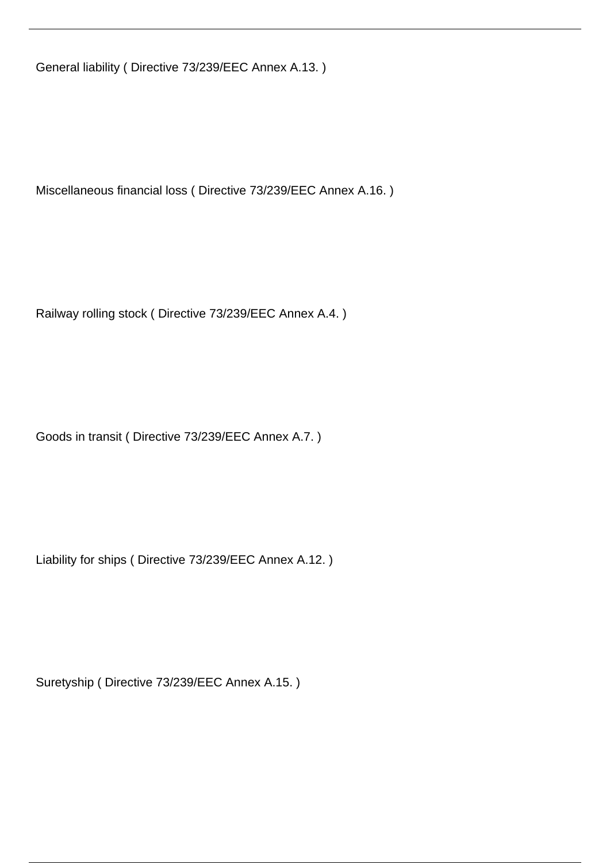General liability ( Directive 73/239/EEC Annex A.13. )

Miscellaneous financial loss ( Directive 73/239/EEC Annex A.16. )

Railway rolling stock ( Directive 73/239/EEC Annex A.4. )

Goods in transit ( Directive 73/239/EEC Annex A.7. )

Liability for ships ( Directive 73/239/EEC Annex A.12. )

Suretyship ( Directive 73/239/EEC Annex A.15. )